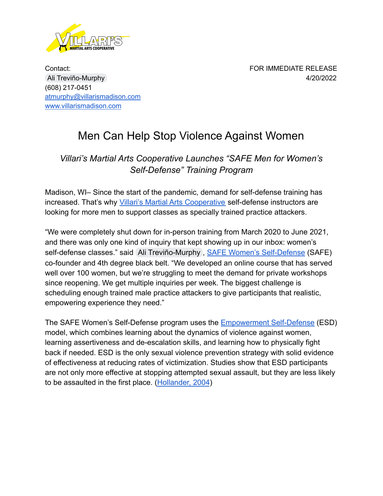

Contact: FOR IMMEDIATE RELEASE Ali [Treviño-Murphy](mailto:ali@undergroundselfdefense.org) 4/20/2022 (608) 217-0451 [atmurphy@villarismadison.com](mailto:atmurphy@villarismadison.com) [www.villarismadison.com](http://www.villarismadison.com)

## Men Can Help Stop Violence Against Women

## *Villari's Martial Arts Cooperative Launches "SAFE Men for Women's Self-Defense" Training Program*

Madison, WI– Since the start of the pandemic, demand for self-defense training has increased. That's why *[Villari's Martial Arts Cooperative](http://www.villarismadison.com)* self-defense instructors are looking for more men to support classes as specially trained practice attackers.

"We were completely shut down for in-person training from March 2020 to June 2021, and there was only one kind of inquiry that kept showing up in our inbox: women's self-defense classes." said [Ali Treviño-Murphy](mailto:ali@undergroundselfdefense.org), [SAFE Women's Self-Defense](http://www.villarismadison.com/safe-womens-self-defense) (SAFE) co-founder and 4th degree black belt. "We developed an online course that has served well over 100 women, but we're struggling to meet the demand for private workshops since reopening. We get multiple inquiries per week. The biggest challenge is scheduling enough trained male practice attackers to give participants that realistic, empowering experience they need."

The SAFE Women's Self-Defense program uses the **[Empowerment](https://esdglobalselfdefense.org/what-is-empowerment-self-defense/) Self-Defense** (ESD) model, which combines learning about the dynamics of violence against women, learning assertiveness and de-escalation skills, and learning how to physically fight back if needed. ESD is the only sexual violence prevention strategy with solid evidence of effectiveness at reducing rates of victimization. Studies show that ESD participants are not only more effective at stopping attempted sexual assault, but they are less likely to be assaulted in the first place. [\(Hollander, 2004](https://www.researchgate.net/publication/249675576_I_Can_Take_Care_of_Myself_The_Impact_of_Self-Defense_Training_on_Women))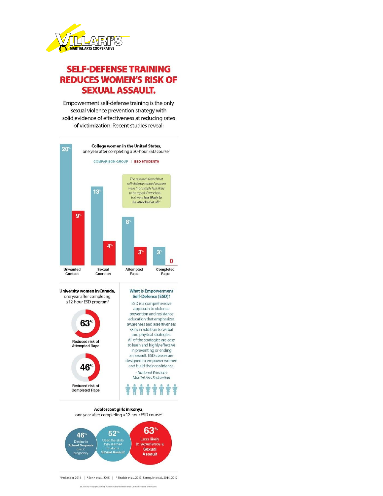

## **SELF-DEFENSE TRAINING REDUCES WOMEN'S RISK OF SEXUAL ASSAULT.**

Empowerment self-defense training is the only sexual violence prevention strategy with solid evidence of effectiveness at reducing rates of victimization. Recent studies reveal:





Adolescent girls in Kenya, one year after completing a 12-hour ESD course<sup>3</sup>



<sup>1</sup>Hollander 2014 | <sup>2</sup> Senn et al., 2015 | <sup>3</sup> Sinclair et al., 2013, Sarnquist et al., 2014, 2017

ESD Efficacy Infographic by Mona MacDonald may be shared under Cre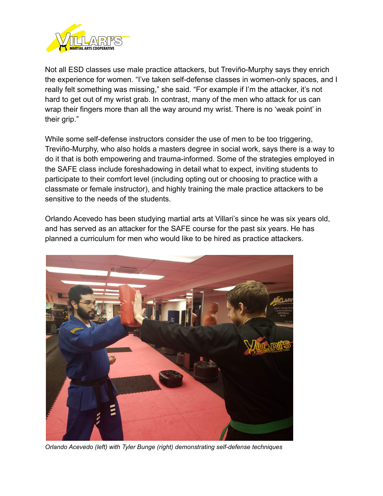

Not all ESD classes use male practice attackers, but Treviño-Murphy says they enrich the experience for women. "I've taken self-defense classes in women-only spaces, and I really felt something was missing," she said. "For example if I'm the attacker, it's not hard to get out of my wrist grab. In contrast, many of the men who attack for us can wrap their fingers more than all the way around my wrist. There is no 'weak point' in their grip."

While some self-defense instructors consider the use of men to be too triggering, Treviño-Murphy, who also holds a masters degree in social work, says there is a way to do it that is both empowering and trauma-informed. Some of the strategies employed in the SAFE class include foreshadowing in detail what to expect, inviting students to participate to their comfort level (including opting out or choosing to practice with a classmate or female instructor), and highly training the male practice attackers to be sensitive to the needs of the students.

Orlando Acevedo has been studying martial arts at Villari's since he was six years old, and has served as an attacker for the SAFE course for the past six years. He has planned a curriculum for men who would like to be hired as practice attackers.



*Orlando Acevedo (left) with Tyler Bunge (right) demonstrating self-defense techniques*